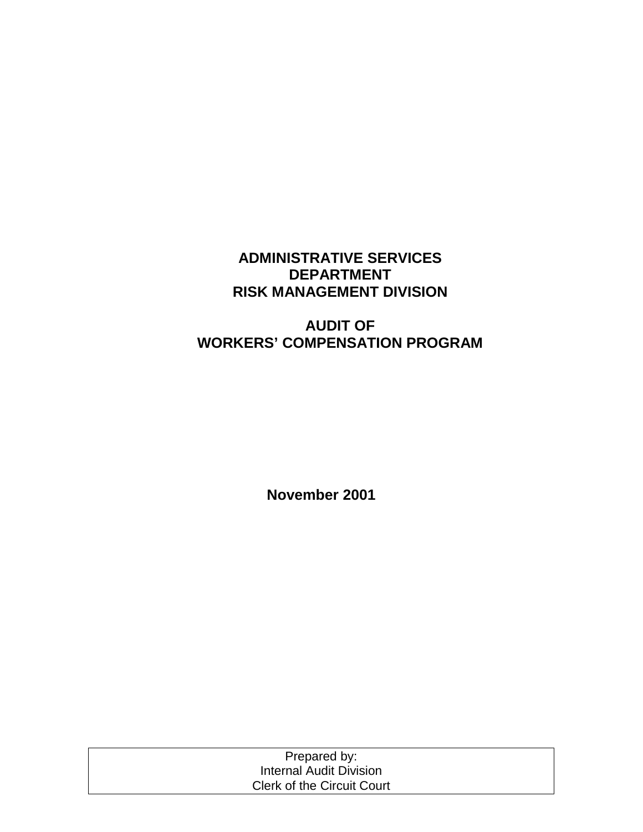# **ADMINISTRATIVE SERVICES DEPARTMENT RISK MANAGEMENT DIVISION**

# **AUDIT OF WORKERS' COMPENSATION PROGRAM**

**November 2001** 

| Prepared by:                      |  |
|-----------------------------------|--|
| Internal Audit Division           |  |
| <b>Clerk of the Circuit Court</b> |  |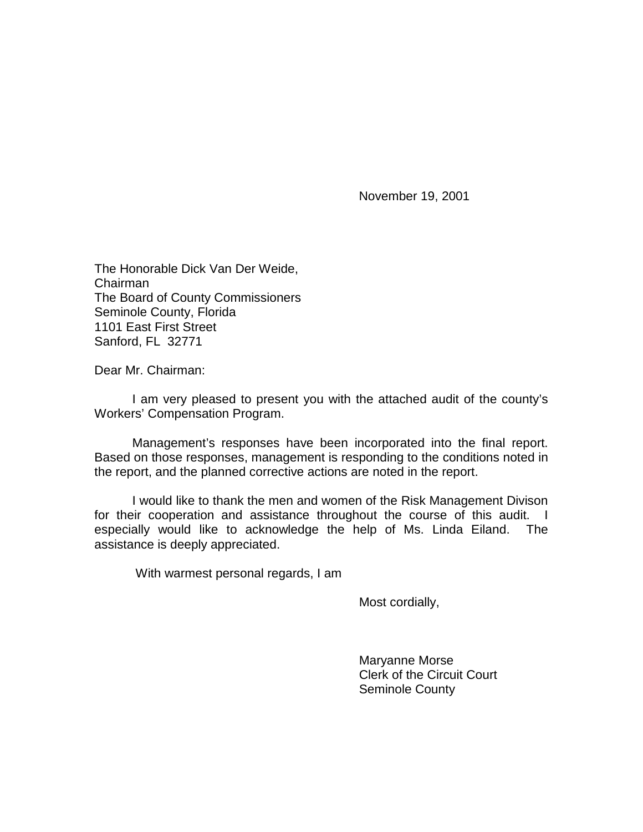November 19, 2001

The Honorable Dick Van Der Weide, Chairman The Board of County Commissioners Seminole County, Florida 1101 East First Street Sanford, FL 32771

Dear Mr. Chairman:

 I am very pleased to present you with the attached audit of the county's Workers' Compensation Program.

 Management's responses have been incorporated into the final report. Based on those responses, management is responding to the conditions noted in the report, and the planned corrective actions are noted in the report.

I would like to thank the men and women of the Risk Management Divison for their cooperation and assistance throughout the course of this audit. I especially would like to acknowledge the help of Ms. Linda Eiland. The assistance is deeply appreciated.

With warmest personal regards, I am

Most cordially,

 Maryanne Morse Clerk of the Circuit Court Seminole County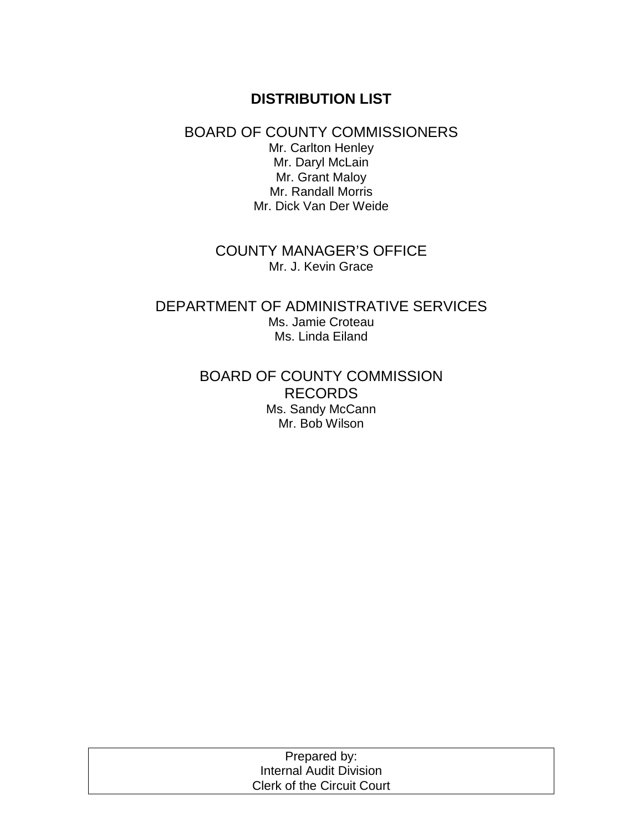# **DISTRIBUTION LIST**

### BOARD OF COUNTY COMMISSIONERS Mr. Carlton Henley Mr. Daryl McLain Mr. Grant Maloy Mr. Randall Morris Mr. Dick Van Der Weide

## COUNTY MANAGER'S OFFICE Mr. J. Kevin Grace

## DEPARTMENT OF ADMINISTRATIVE SERVICES Ms. Jamie Croteau Ms. Linda Eiland

## BOARD OF COUNTY COMMISSION RECORDS Ms. Sandy McCann Mr. Bob Wilson

| Prepared by:                      |  |
|-----------------------------------|--|
| Internal Audit Division           |  |
| <b>Clerk of the Circuit Court</b> |  |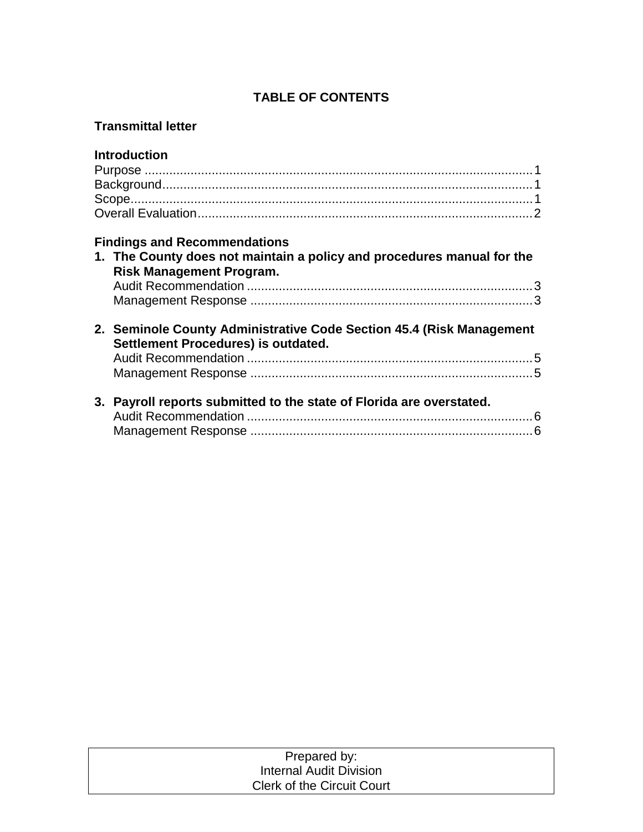## **TABLE OF CONTENTS**

## **Transmittal letter**

| <b>Introduction</b>                                                                                         |  |
|-------------------------------------------------------------------------------------------------------------|--|
|                                                                                                             |  |
|                                                                                                             |  |
|                                                                                                             |  |
|                                                                                                             |  |
| <b>Findings and Recommendations</b>                                                                         |  |
| 1. The County does not maintain a policy and procedures manual for the<br><b>Risk Management Program.</b>   |  |
|                                                                                                             |  |
|                                                                                                             |  |
| 2. Seminole County Administrative Code Section 45.4 (Risk Management<br>Settlement Procedures) is outdated. |  |
|                                                                                                             |  |
|                                                                                                             |  |
| 3. Payroll reports submitted to the state of Florida are overstated.                                        |  |
|                                                                                                             |  |
|                                                                                                             |  |
|                                                                                                             |  |

| Prepared by:                      |  |
|-----------------------------------|--|
| Internal Audit Division           |  |
| <b>Clerk of the Circuit Court</b> |  |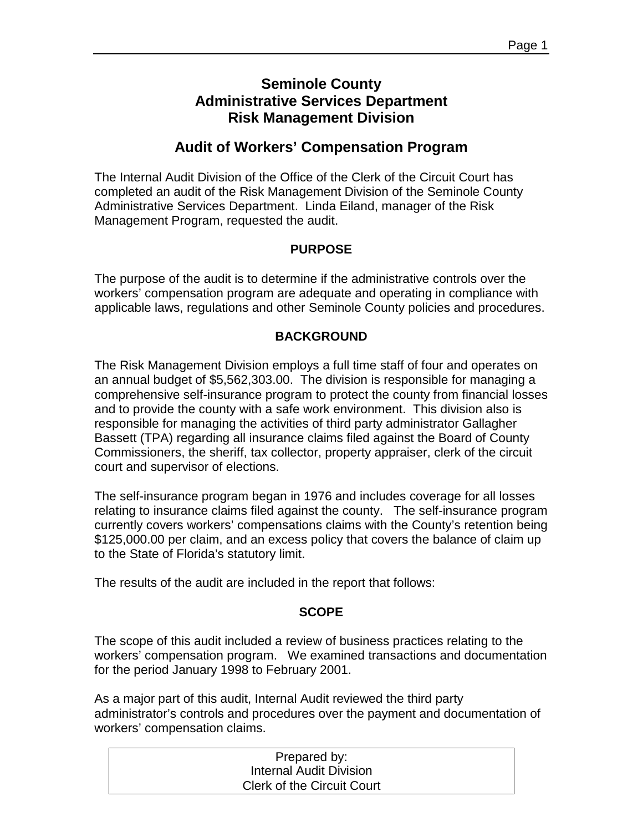# **Seminole County Administrative Services Department Risk Management Division**

# **Audit of Workers' Compensation Program**

The Internal Audit Division of the Office of the Clerk of the Circuit Court has completed an audit of the Risk Management Division of the Seminole County Administrative Services Department. Linda Eiland, manager of the Risk Management Program, requested the audit.

### **PURPOSE**

The purpose of the audit is to determine if the administrative controls over the workers' compensation program are adequate and operating in compliance with applicable laws, regulations and other Seminole County policies and procedures.

### **BACKGROUND**

The Risk Management Division employs a full time staff of four and operates on an annual budget of \$5,562,303.00. The division is responsible for managing a comprehensive self-insurance program to protect the county from financial losses and to provide the county with a safe work environment. This division also is responsible for managing the activities of third party administrator Gallagher Bassett (TPA) regarding all insurance claims filed against the Board of County Commissioners, the sheriff, tax collector, property appraiser, clerk of the circuit court and supervisor of elections.

The self-insurance program began in 1976 and includes coverage for all losses relating to insurance claims filed against the county. The self-insurance program currently covers workers' compensations claims with the County's retention being \$125,000.00 per claim, and an excess policy that covers the balance of claim up to the State of Florida's statutory limit.

The results of the audit are included in the report that follows:

### **SCOPE**

The scope of this audit included a review of business practices relating to the workers' compensation program. We examined transactions and documentation for the period January 1998 to February 2001.

As a major part of this audit, Internal Audit reviewed the third party administrator's controls and procedures over the payment and documentation of workers' compensation claims.

| Prepared by:                      |  |
|-----------------------------------|--|
| <b>Internal Audit Division</b>    |  |
| <b>Clerk of the Circuit Court</b> |  |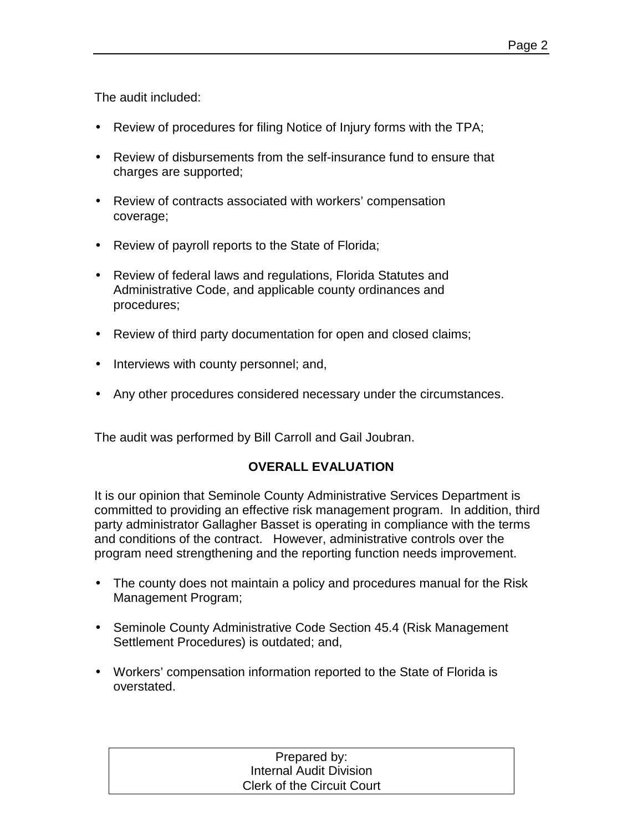The audit included:

- Review of procedures for filing Notice of Injury forms with the TPA;
- Review of disbursements from the self-insurance fund to ensure that charges are supported;
- Review of contracts associated with workers' compensation coverage;
- Review of payroll reports to the State of Florida;
- Review of federal laws and regulations, Florida Statutes and Administrative Code, and applicable county ordinances and procedures;
- Review of third party documentation for open and closed claims;
- Interviews with county personnel; and,
- Any other procedures considered necessary under the circumstances.

The audit was performed by Bill Carroll and Gail Joubran.

## **OVERALL EVALUATION**

It is our opinion that Seminole County Administrative Services Department is committed to providing an effective risk management program. In addition, third party administrator Gallagher Basset is operating in compliance with the terms and conditions of the contract. However, administrative controls over the program need strengthening and the reporting function needs improvement.

- The county does not maintain a policy and procedures manual for the Risk Management Program;
- Seminole County Administrative Code Section 45.4 (Risk Management Settlement Procedures) is outdated; and,
- Workers' compensation information reported to the State of Florida is overstated.

### Prepared by: Internal Audit Division Clerk of the Circuit Court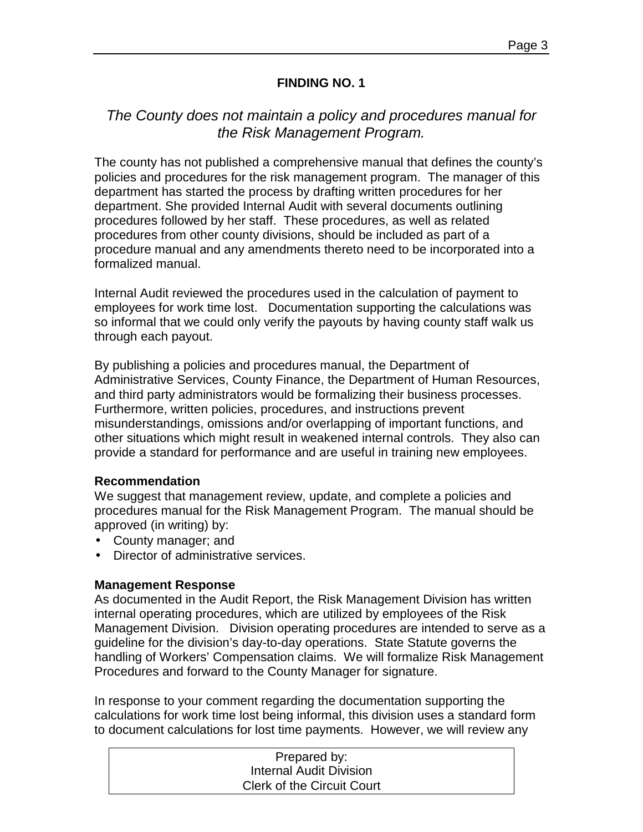### **FINDING NO. 1**

# *The County does not maintain a policy and procedures manual for the Risk Management Program.*

The county has not published a comprehensive manual that defines the county's policies and procedures for the risk management program. The manager of this department has started the process by drafting written procedures for her department. She provided Internal Audit with several documents outlining procedures followed by her staff. These procedures, as well as related procedures from other county divisions, should be included as part of a procedure manual and any amendments thereto need to be incorporated into a formalized manual.

Internal Audit reviewed the procedures used in the calculation of payment to employees for work time lost. Documentation supporting the calculations was so informal that we could only verify the payouts by having county staff walk us through each payout.

By publishing a policies and procedures manual, the Department of Administrative Services, County Finance, the Department of Human Resources, and third party administrators would be formalizing their business processes. Furthermore, written policies, procedures, and instructions prevent misunderstandings, omissions and/or overlapping of important functions, and other situations which might result in weakened internal controls. They also can provide a standard for performance and are useful in training new employees.

#### **Recommendation**

We suggest that management review, update, and complete a policies and procedures manual for the Risk Management Program. The manual should be approved (in writing) by:

- County manager; and
- Director of administrative services.

### **Management Response**

As documented in the Audit Report, the Risk Management Division has written internal operating procedures, which are utilized by employees of the Risk Management Division. Division operating procedures are intended to serve as a guideline for the division's day-to-day operations. State Statute governs the handling of Workers' Compensation claims. We will formalize Risk Management Procedures and forward to the County Manager for signature.

In response to your comment regarding the documentation supporting the calculations for work time lost being informal, this division uses a standard form to document calculations for lost time payments. However, we will review any

| Prepared by:                      |  |
|-----------------------------------|--|
| <b>Internal Audit Division</b>    |  |
| <b>Clerk of the Circuit Court</b> |  |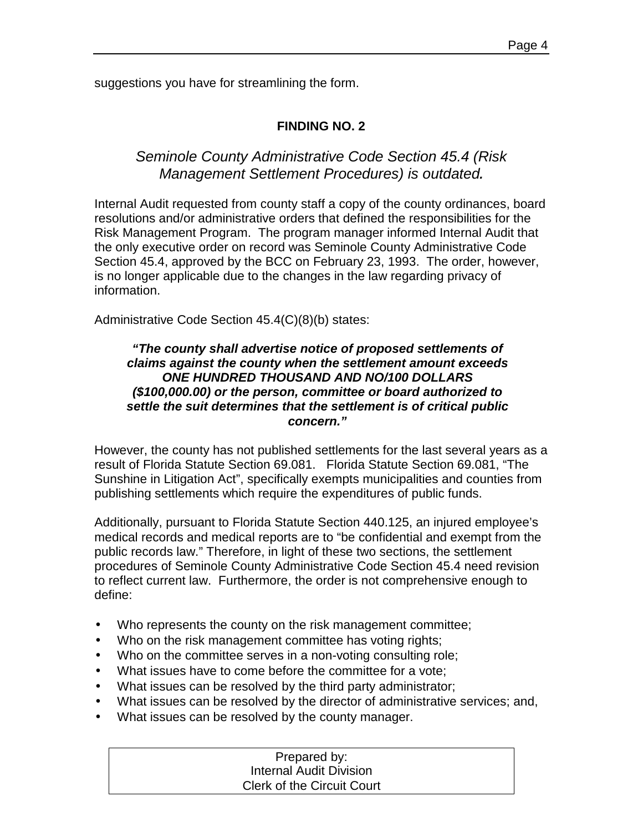suggestions you have for streamlining the form.

## **FINDING NO. 2**

# *Seminole County Administrative Code Section 45.4 (Risk Management Settlement Procedures) is outdated.*

Internal Audit requested from county staff a copy of the county ordinances, board resolutions and/or administrative orders that defined the responsibilities for the Risk Management Program. The program manager informed Internal Audit that the only executive order on record was Seminole County Administrative Code Section 45.4, approved by the BCC on February 23, 1993. The order, however, is no longer applicable due to the changes in the law regarding privacy of information.

Administrative Code Section 45.4(C)(8)(b) states:

#### *"The county shall advertise notice of proposed settlements of claims against the county when the settlement amount exceeds ONE HUNDRED THOUSAND AND NO/100 DOLLARS (\$100,000.00) or the person, committee or board authorized to settle the suit determines that the settlement is of critical public concern."*

However, the county has not published settlements for the last several years as a result of Florida Statute Section 69.081. Florida Statute Section 69.081, "The Sunshine in Litigation Act", specifically exempts municipalities and counties from publishing settlements which require the expenditures of public funds.

Additionally, pursuant to Florida Statute Section 440.125, an injured employee's medical records and medical reports are to "be confidential and exempt from the public records law." Therefore, in light of these two sections, the settlement procedures of Seminole County Administrative Code Section 45.4 need revision to reflect current law. Furthermore, the order is not comprehensive enough to define:

- Who represents the county on the risk management committee;
- Who on the risk management committee has voting rights;
- Who on the committee serves in a non-voting consulting role;
- What issues have to come before the committee for a vote;
- What issues can be resolved by the third party administrator;
- What issues can be resolved by the director of administrative services; and,
- What issues can be resolved by the county manager.

## Prepared by: Internal Audit Division Clerk of the Circuit Court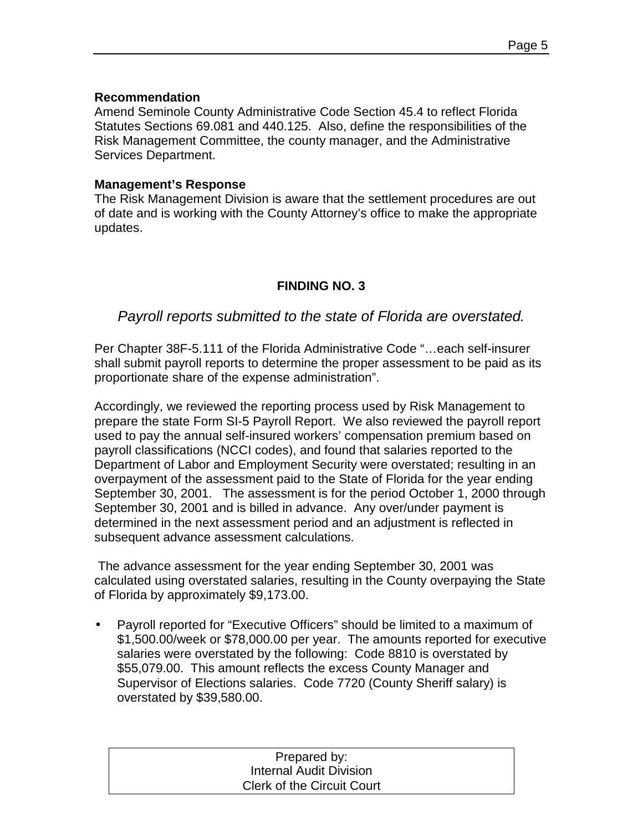#### **Recommendation**

Amend Seminole County Administrative Code Section 45.4 to reflect Florida Statutes Sections 69.081 and 440.125. Also, define the responsibilities of the Risk Management Committee, the county manager, and the Administrative Services Department.

#### **Management's Response**

The Risk Management Division is aware that the settlement procedures are out of date and is working with the County Attorney's office to make the appropriate updates.

### **FINDING NO. 3**

### *Payroll reports submitted to the state of Florida are overstated.*

Per Chapter 38F-5.111 of the Florida Administrative Code "…each self-insurer shall submit payroll reports to determine the proper assessment to be paid as its proportionate share of the expense administration".

Accordingly, we reviewed the reporting process used by Risk Management to prepare the state Form SI-5 Payroll Report. We also reviewed the payroll report used to pay the annual self-insured workers' compensation premium based on payroll classifications (NCCI codes), and found that salaries reported to the Department of Labor and Employment Security were overstated; resulting in an overpayment of the assessment paid to the State of Florida for the year ending September 30, 2001. The assessment is for the period October 1, 2000 through September 30, 2001 and is billed in advance. Any over/under payment is determined in the next assessment period and an adjustment is reflected in subsequent advance assessment calculations.

 The advance assessment for the year ending September 30, 2001 was calculated using overstated salaries, resulting in the County overpaying the State of Florida by approximately \$9,173.00.

• Payroll reported for "Executive Officers" should be limited to a maximum of \$1,500.00/week or \$78,000.00 per year. The amounts reported for executive salaries were overstated by the following: Code 8810 is overstated by \$55,079.00. This amount reflects the excess County Manager and Supervisor of Elections salaries. Code 7720 (County Sheriff salary) is overstated by \$39,580.00.

| Prepared by:                      |
|-----------------------------------|
| <b>Internal Audit Division</b>    |
| <b>Clerk of the Circuit Court</b> |